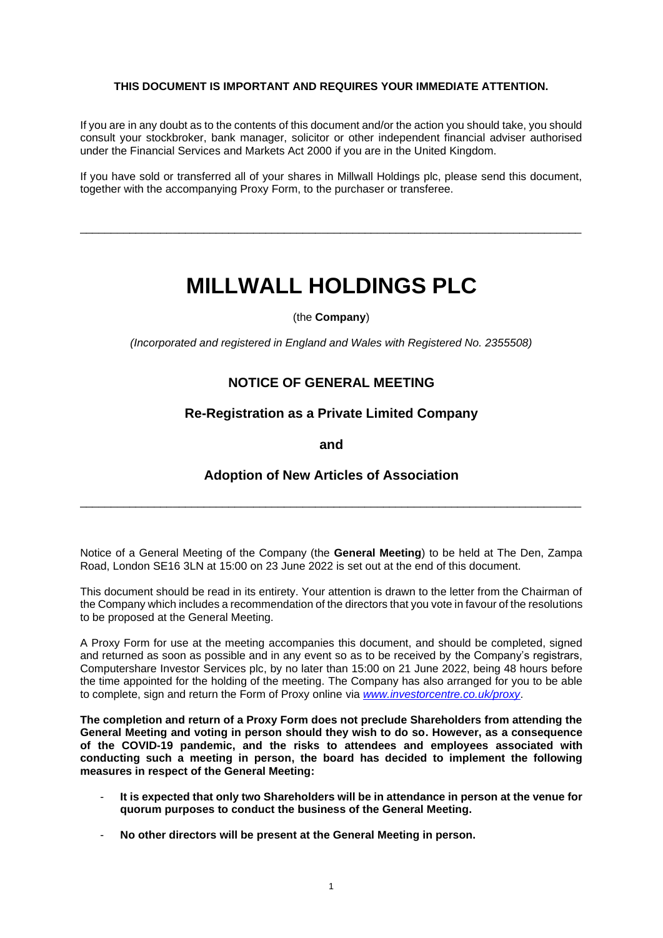## **THIS DOCUMENT IS IMPORTANT AND REQUIRES YOUR IMMEDIATE ATTENTION.**

If you are in any doubt as to the contents of this document and/or the action you should take, you should consult your stockbroker, bank manager, solicitor or other independent financial adviser authorised under the Financial Services and Markets Act 2000 if you are in the United Kingdom.

If you have sold or transferred all of your shares in Millwall Holdings plc, please send this document, together with the accompanying Proxy Form, to the purchaser or transferee.

\_\_\_\_\_\_\_\_\_\_\_\_\_\_\_\_\_\_\_\_\_\_\_\_\_\_\_\_\_\_\_\_\_\_\_\_\_\_\_\_\_\_\_\_\_\_\_\_\_\_\_\_\_\_\_\_\_\_\_\_\_\_\_\_\_\_\_\_\_\_\_\_\_\_\_\_\_\_\_\_\_

# **MILLWALL HOLDINGS PLC**

(the **Company**)

*(Incorporated and registered in England and Wales with Registered No. 2355508)*

## **NOTICE OF GENERAL MEETING**

## **Re-Registration as a Private Limited Company**

**and**

## **Adoption of New Articles of Association**

\_\_\_\_\_\_\_\_\_\_\_\_\_\_\_\_\_\_\_\_\_\_\_\_\_\_\_\_\_\_\_\_\_\_\_\_\_\_\_\_\_\_\_\_\_\_\_\_\_\_\_\_\_\_\_\_\_\_\_\_\_\_\_\_\_\_\_\_\_\_\_\_\_\_\_\_\_\_\_\_\_

Notice of a General Meeting of the Company (the **General Meeting**) to be held at The Den, Zampa Road, London SE16 3LN at 15:00 on 23 June 2022 is set out at the end of this document.

This document should be read in its entirety. Your attention is drawn to the letter from the Chairman of the Company which includes a recommendation of the directors that you vote in favour of the resolutions to be proposed at the General Meeting.

A Proxy Form for use at the meeting accompanies this document, and should be completed, signed and returned as soon as possible and in any event so as to be received by the Company's registrars, Computershare Investor Services plc, by no later than 15:00 on 21 June 2022, being 48 hours before the time appointed for the holding of the meeting. The Company has also arranged for you to be able to complete, sign and return the Form of Proxy online via *[www.investorcentre.co.uk/proxy](http://www.investorcentre.co.uk/proxy)*.

**The completion and return of a Proxy Form does not preclude Shareholders from attending the General Meeting and voting in person should they wish to do so. However, as a consequence of the COVID-19 pandemic, and the risks to attendees and employees associated with conducting such a meeting in person, the board has decided to implement the following measures in respect of the General Meeting:**

- It is expected that only two Shareholders will be in attendance in person at the venue for **quorum purposes to conduct the business of the General Meeting.**
- **No other directors will be present at the General Meeting in person.**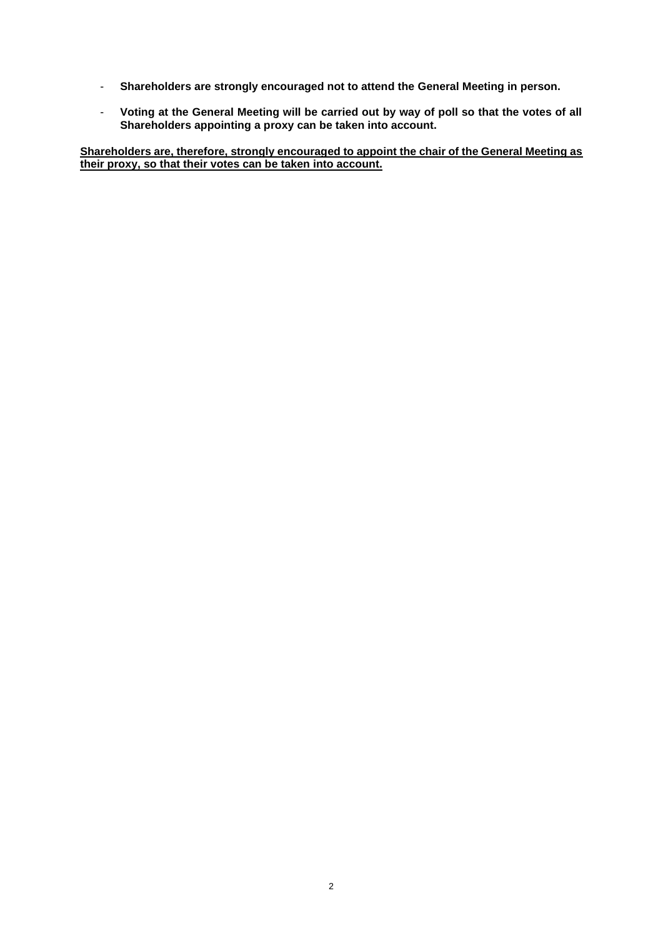- **Shareholders are strongly encouraged not to attend the General Meeting in person.**
- **Voting at the General Meeting will be carried out by way of poll so that the votes of all Shareholders appointing a proxy can be taken into account.**

**Shareholders are, therefore, strongly encouraged to appoint the chair of the General Meeting as their proxy, so that their votes can be taken into account.**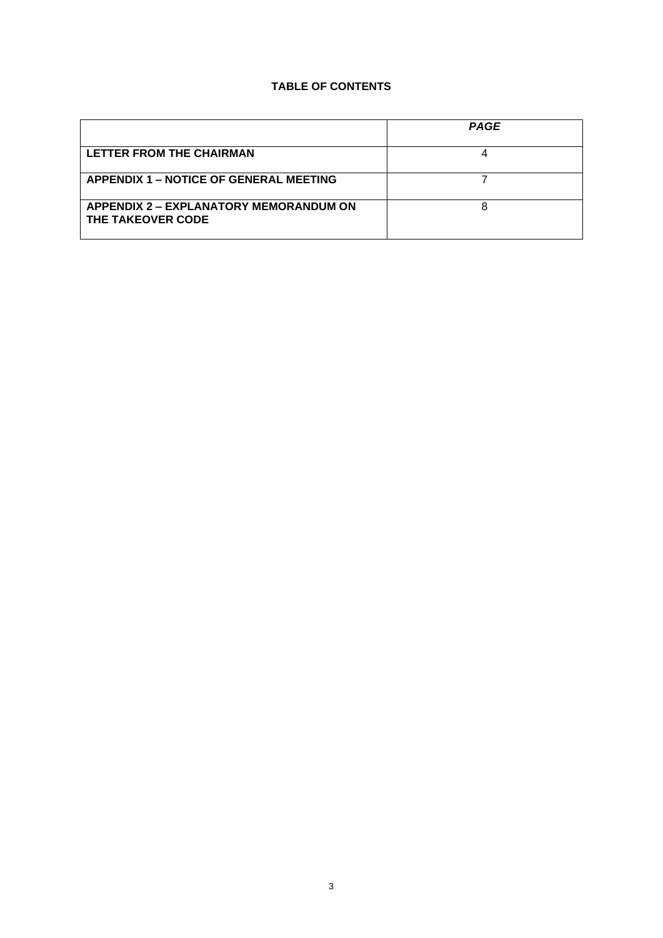## **TABLE OF CONTENTS**

|                                                                    | <b>PAGE</b> |
|--------------------------------------------------------------------|-------------|
| <b>LETTER FROM THE CHAIRMAN</b>                                    |             |
| APPENDIX 1 – NOTICE OF GENERAL MEETING                             |             |
| <b>APPENDIX 2 – EXPLANATORY MEMORANDUM ON</b><br>THE TAKEOVER CODE |             |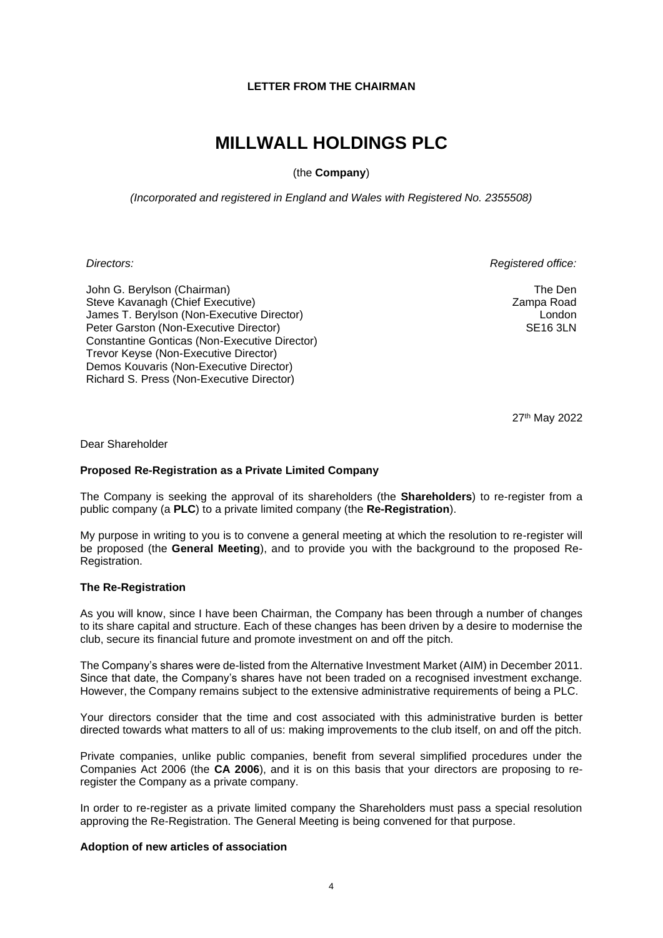## **LETTER FROM THE CHAIRMAN**

## **MILLWALL HOLDINGS PLC**

(the **Company**)

*(Incorporated and registered in England and Wales with Registered No. 2355508)*

*Directors: Registered office:*

John G. Berylson (Chairman) Steve Kavanagh (Chief Executive) James T. Berylson (Non-Executive Director) Peter Garston (Non-Executive Director) Constantine Gonticas (Non-Executive Director) Trevor Keyse (Non-Executive Director) Demos Kouvaris (Non-Executive Director) Richard S. Press (Non-Executive Director)

The Den Zampa Road London SE16 3LN

27th May 2022

Dear Shareholder

## **Proposed Re-Registration as a Private Limited Company**

The Company is seeking the approval of its shareholders (the **Shareholders**) to re-register from a public company (a **PLC**) to a private limited company (the **Re-Registration**).

My purpose in writing to you is to convene a general meeting at which the resolution to re-register will be proposed (the **General Meeting**), and to provide you with the background to the proposed Re-Registration.

## **The Re-Registration**

As you will know, since I have been Chairman, the Company has been through a number of changes to its share capital and structure. Each of these changes has been driven by a desire to modernise the club, secure its financial future and promote investment on and off the pitch.

The Company's shares were de-listed from the Alternative Investment Market (AIM) in December 2011. Since that date, the Company's shares have not been traded on a recognised investment exchange. However, the Company remains subject to the extensive administrative requirements of being a PLC.

Your directors consider that the time and cost associated with this administrative burden is better directed towards what matters to all of us: making improvements to the club itself, on and off the pitch.

Private companies, unlike public companies, benefit from several simplified procedures under the Companies Act 2006 (the **CA 2006**), and it is on this basis that your directors are proposing to reregister the Company as a private company.

In order to re-register as a private limited company the Shareholders must pass a special resolution approving the Re-Registration. The General Meeting is being convened for that purpose.

#### **Adoption of new articles of association**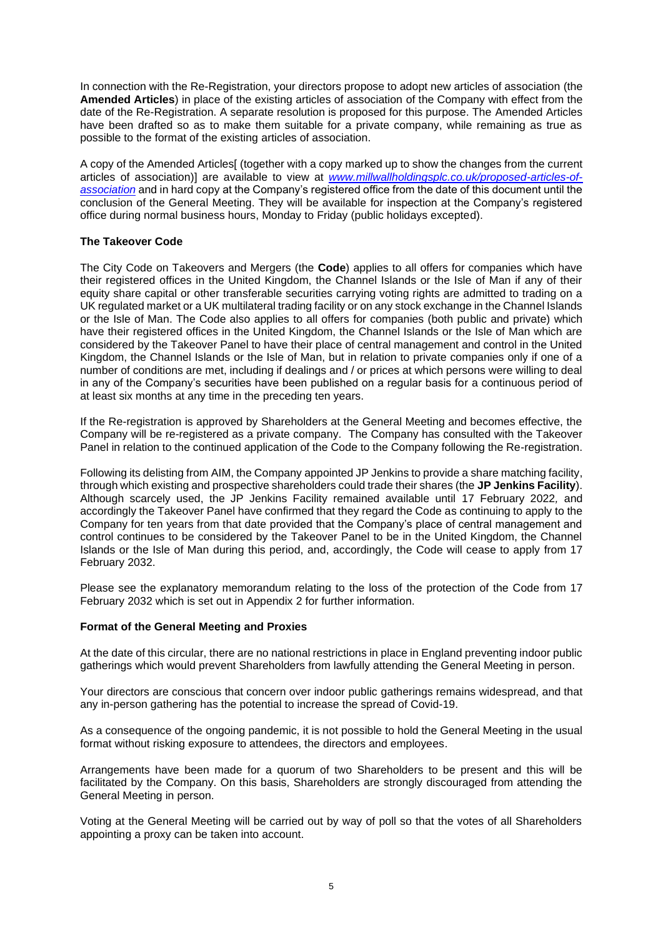In connection with the Re-Registration, your directors propose to adopt new articles of association (the **Amended Articles**) in place of the existing articles of association of the Company with effect from the date of the Re-Registration. A separate resolution is proposed for this purpose. The Amended Articles have been drafted so as to make them suitable for a private company, while remaining as true as possible to the format of the existing articles of association.

A copy of the Amended Articles[ (together with a copy marked up to show the changes from the current articles of association)] are available to view at *[www.millwallholdingsplc.co.uk/proposed-articles-of](http://www.millwallholdingsplc.co.uk/proposed-articles-of-association)[association](http://www.millwallholdingsplc.co.uk/proposed-articles-of-association)* and in hard copy at the Company's registered office from the date of this document until the conclusion of the General Meeting. They will be available for inspection at the Company's registered office during normal business hours, Monday to Friday (public holidays excepted).

## **The Takeover Code**

The City Code on Takeovers and Mergers (the **Code**) applies to all offers for companies which have their registered offices in the United Kingdom, the Channel Islands or the Isle of Man if any of their equity share capital or other transferable securities carrying voting rights are admitted to trading on a UK regulated market or a UK multilateral trading facility or on any stock exchange in the Channel Islands or the Isle of Man. The Code also applies to all offers for companies (both public and private) which have their registered offices in the United Kingdom, the Channel Islands or the Isle of Man which are considered by the Takeover Panel to have their place of central management and control in the United Kingdom, the Channel Islands or the Isle of Man, but in relation to private companies only if one of a number of conditions are met, including if dealings and / or prices at which persons were willing to deal in any of the Company's securities have been published on a regular basis for a continuous period of at least six months at any time in the preceding ten years.

If the Re-registration is approved by Shareholders at the General Meeting and becomes effective, the Company will be re-registered as a private company. The Company has consulted with the Takeover Panel in relation to the continued application of the Code to the Company following the Re-registration.

Following its delisting from AIM, the Company appointed JP Jenkins to provide a share matching facility, through which existing and prospective shareholders could trade their shares (the **JP Jenkins Facility**). Although scarcely used, the JP Jenkins Facility remained available until 17 February 2022*,* and accordingly the Takeover Panel have confirmed that they regard the Code as continuing to apply to the Company for ten years from that date provided that the Company's place of central management and control continues to be considered by the Takeover Panel to be in the United Kingdom, the Channel Islands or the Isle of Man during this period, and, accordingly, the Code will cease to apply from 17 February 2032.

Please see the explanatory memorandum relating to the loss of the protection of the Code from 17 February 2032 which is set out in Appendix 2 for further information.

## **Format of the General Meeting and Proxies**

At the date of this circular, there are no national restrictions in place in England preventing indoor public gatherings which would prevent Shareholders from lawfully attending the General Meeting in person.

Your directors are conscious that concern over indoor public gatherings remains widespread, and that any in-person gathering has the potential to increase the spread of Covid-19.

As a consequence of the ongoing pandemic, it is not possible to hold the General Meeting in the usual format without risking exposure to attendees, the directors and employees.

Arrangements have been made for a quorum of two Shareholders to be present and this will be facilitated by the Company. On this basis, Shareholders are strongly discouraged from attending the General Meeting in person.

Voting at the General Meeting will be carried out by way of poll so that the votes of all Shareholders appointing a proxy can be taken into account.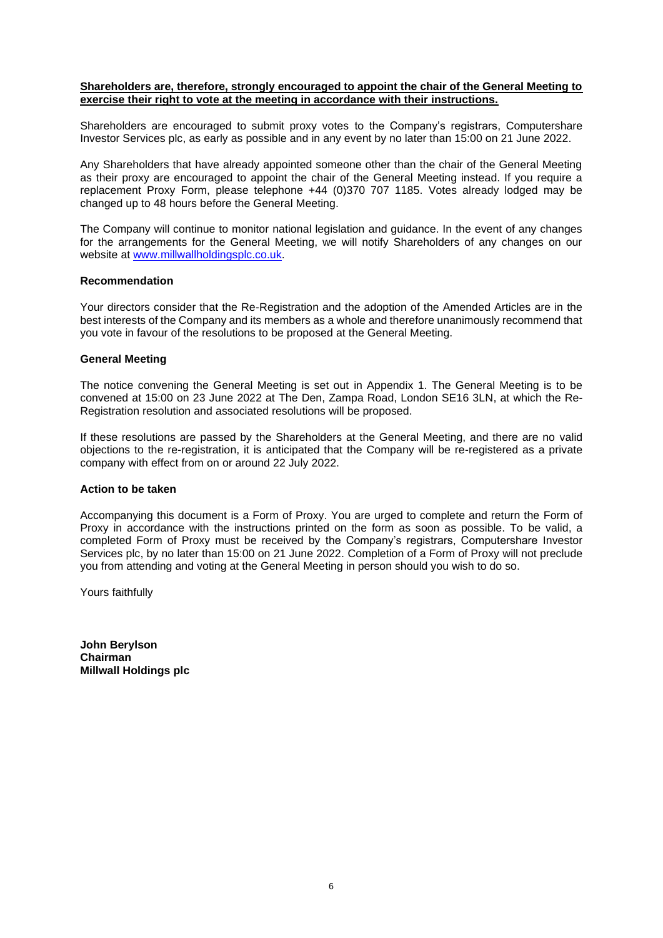#### **Shareholders are, therefore, strongly encouraged to appoint the chair of the General Meeting to exercise their right to vote at the meeting in accordance with their instructions.**

Shareholders are encouraged to submit proxy votes to the Company's registrars, Computershare Investor Services plc, as early as possible and in any event by no later than 15:00 on 21 June 2022.

Any Shareholders that have already appointed someone other than the chair of the General Meeting as their proxy are encouraged to appoint the chair of the General Meeting instead. If you require a replacement Proxy Form, please telephone +44 (0)370 707 1185. Votes already lodged may be changed up to 48 hours before the General Meeting.

The Company will continue to monitor national legislation and guidance. In the event of any changes for the arrangements for the General Meeting, we will notify Shareholders of any changes on our website at [www.millwallholdingsplc.co.uk.](http://www.millwallholdingsplc.co.uk/)

#### **Recommendation**

Your directors consider that the Re-Registration and the adoption of the Amended Articles are in the best interests of the Company and its members as a whole and therefore unanimously recommend that you vote in favour of the resolutions to be proposed at the General Meeting.

#### **General Meeting**

The notice convening the General Meeting is set out in Appendix 1. The General Meeting is to be convened at 15:00 on 23 June 2022 at The Den, Zampa Road, London SE16 3LN, at which the Re-Registration resolution and associated resolutions will be proposed.

If these resolutions are passed by the Shareholders at the General Meeting, and there are no valid objections to the re-registration, it is anticipated that the Company will be re-registered as a private company with effect from on or around 22 July 2022.

#### **Action to be taken**

Accompanying this document is a Form of Proxy. You are urged to complete and return the Form of Proxy in accordance with the instructions printed on the form as soon as possible. To be valid, a completed Form of Proxy must be received by the Company's registrars, Computershare Investor Services plc, by no later than 15:00 on 21 June 2022. Completion of a Form of Proxy will not preclude you from attending and voting at the General Meeting in person should you wish to do so.

Yours faithfully

**John Berylson Chairman Millwall Holdings plc**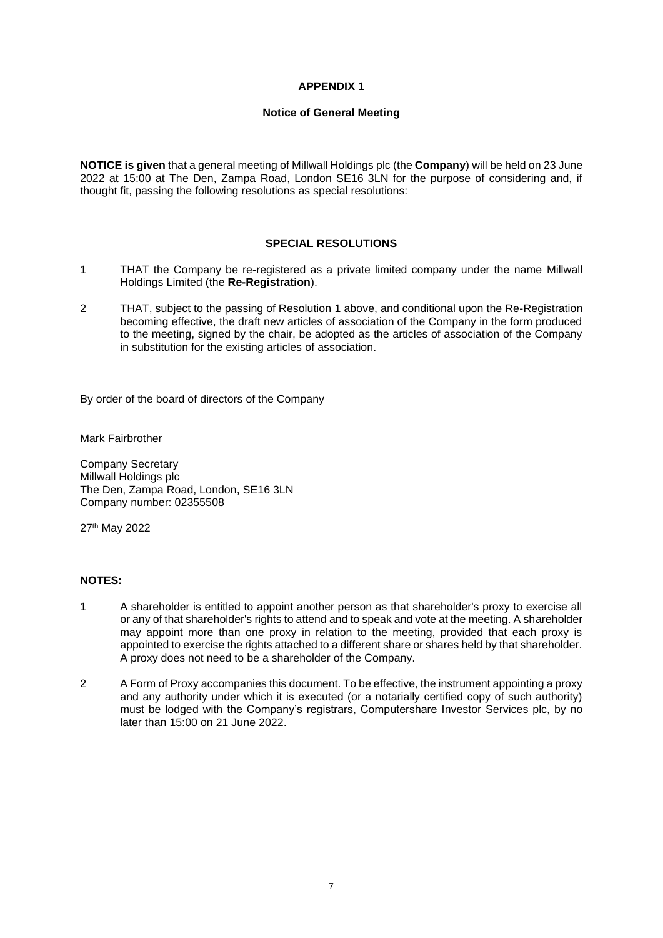## **APPENDIX 1**

## **Notice of General Meeting**

**NOTICE is given** that a general meeting of Millwall Holdings plc (the **Company**) will be held on 23 June 2022 at 15:00 at The Den, Zampa Road, London SE16 3LN for the purpose of considering and, if thought fit, passing the following resolutions as special resolutions:

## <span id="page-6-0"></span>**SPECIAL RESOLUTIONS**

- 1 THAT the Company be re-registered as a private limited company under the name Millwall Holdings Limited (the **Re-Registration**).
- 2 THAT, subject to the passing of Resolution [1](#page-6-0) above, and conditional upon the Re-Registration becoming effective, the draft new articles of association of the Company in the form produced to the meeting, signed by the chair, be adopted as the articles of association of the Company in substitution for the existing articles of association.

By order of the board of directors of the Company

Mark Fairbrother

Company Secretary Millwall Holdings plc The Den, Zampa Road, London, SE16 3LN Company number: 02355508

27th May 2022

## **NOTES:**

- 1 A shareholder is entitled to appoint another person as that shareholder's proxy to exercise all or any of that shareholder's rights to attend and to speak and vote at the meeting. A shareholder may appoint more than one proxy in relation to the meeting, provided that each proxy is appointed to exercise the rights attached to a different share or shares held by that shareholder. A proxy does not need to be a shareholder of the Company.
- 2 A Form of Proxy accompanies this document. To be effective, the instrument appointing a proxy and any authority under which it is executed (or a notarially certified copy of such authority) must be lodged with the Company's registrars, Computershare Investor Services plc, by no later than 15:00 on 21 June 2022.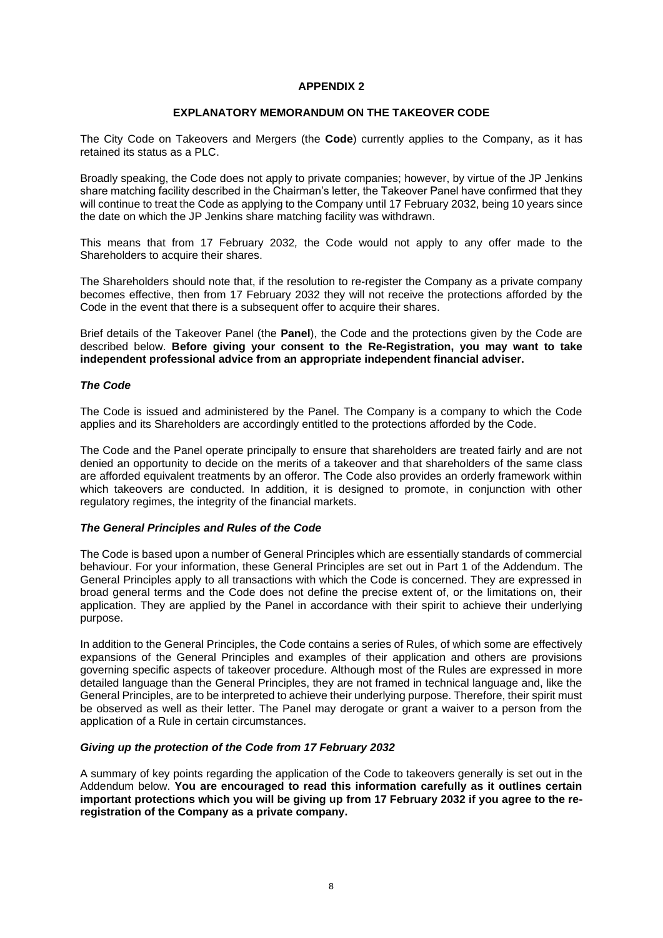## **APPENDIX 2**

## **EXPLANATORY MEMORANDUM ON THE TAKEOVER CODE**

The City Code on Takeovers and Mergers (the **Code**) currently applies to the Company, as it has retained its status as a PLC.

Broadly speaking, the Code does not apply to private companies; however, by virtue of the JP Jenkins share matching facility described in the Chairman's letter, the Takeover Panel have confirmed that they will continue to treat the Code as applying to the Company until 17 February 2032, being 10 years since the date on which the JP Jenkins share matching facility was withdrawn.

This means that from 17 February 2032*,* the Code would not apply to any offer made to the Shareholders to acquire their shares.

The Shareholders should note that, if the resolution to re-register the Company as a private company becomes effective, then from 17 February 2032 they will not receive the protections afforded by the Code in the event that there is a subsequent offer to acquire their shares.

Brief details of the Takeover Panel (the **Panel**), the Code and the protections given by the Code are described below. **Before giving your consent to the Re-Registration, you may want to take independent professional advice from an appropriate independent financial adviser.**

## *The Code*

The Code is issued and administered by the Panel. The Company is a company to which the Code applies and its Shareholders are accordingly entitled to the protections afforded by the Code.

The Code and the Panel operate principally to ensure that shareholders are treated fairly and are not denied an opportunity to decide on the merits of a takeover and that shareholders of the same class are afforded equivalent treatments by an offeror. The Code also provides an orderly framework within which takeovers are conducted. In addition, it is designed to promote, in conjunction with other regulatory regimes, the integrity of the financial markets.

#### *The General Principles and Rules of the Code*

The Code is based upon a number of General Principles which are essentially standards of commercial behaviour. For your information, these General Principles are set out in Part 1 of the Addendum. The General Principles apply to all transactions with which the Code is concerned. They are expressed in broad general terms and the Code does not define the precise extent of, or the limitations on, their application. They are applied by the Panel in accordance with their spirit to achieve their underlying purpose.

In addition to the General Principles, the Code contains a series of Rules, of which some are effectively expansions of the General Principles and examples of their application and others are provisions governing specific aspects of takeover procedure. Although most of the Rules are expressed in more detailed language than the General Principles, they are not framed in technical language and, like the General Principles, are to be interpreted to achieve their underlying purpose. Therefore, their spirit must be observed as well as their letter. The Panel may derogate or grant a waiver to a person from the application of a Rule in certain circumstances.

#### *Giving up the protection of the Code from 17 February 2032*

A summary of key points regarding the application of the Code to takeovers generally is set out in the Addendum below. **You are encouraged to read this information carefully as it outlines certain important protections which you will be giving up from 17 February 2032 if you agree to the reregistration of the Company as a private company.**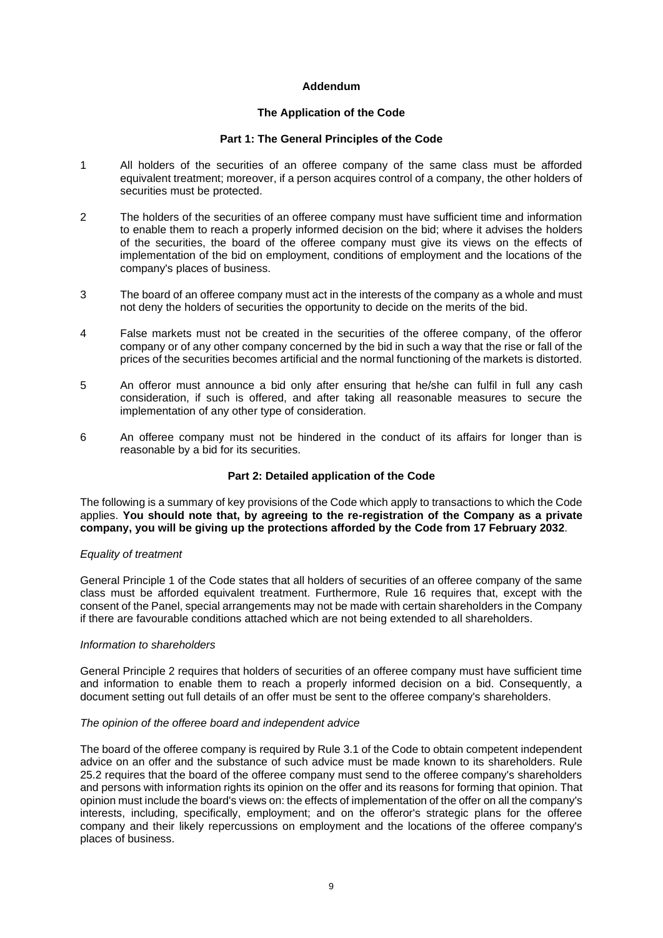## **Addendum**

## **The Application of the Code**

#### **Part 1: The General Principles of the Code**

- 1 All holders of the securities of an offeree company of the same class must be afforded equivalent treatment; moreover, if a person acquires control of a company, the other holders of securities must be protected.
- 2 The holders of the securities of an offeree company must have sufficient time and information to enable them to reach a properly informed decision on the bid; where it advises the holders of the securities, the board of the offeree company must give its views on the effects of implementation of the bid on employment, conditions of employment and the locations of the company's places of business.
- 3 The board of an offeree company must act in the interests of the company as a whole and must not deny the holders of securities the opportunity to decide on the merits of the bid.
- 4 False markets must not be created in the securities of the offeree company, of the offeror company or of any other company concerned by the bid in such a way that the rise or fall of the prices of the securities becomes artificial and the normal functioning of the markets is distorted.
- 5 An offeror must announce a bid only after ensuring that he/she can fulfil in full any cash consideration, if such is offered, and after taking all reasonable measures to secure the implementation of any other type of consideration.
- 6 An offeree company must not be hindered in the conduct of its affairs for longer than is reasonable by a bid for its securities.

## **Part 2: Detailed application of the Code**

The following is a summary of key provisions of the Code which apply to transactions to which the Code applies. **You should note that, by agreeing to the re-registration of the Company as a private company, you will be giving up the protections afforded by the Code from 17 February 2032**.

## *Equality of treatment*

General Principle 1 of the Code states that all holders of securities of an offeree company of the same class must be afforded equivalent treatment. Furthermore, Rule 16 requires that, except with the consent of the Panel, special arrangements may not be made with certain shareholders in the Company if there are favourable conditions attached which are not being extended to all shareholders.

#### *Information to shareholders*

General Principle 2 requires that holders of securities of an offeree company must have sufficient time and information to enable them to reach a properly informed decision on a bid. Consequently, a document setting out full details of an offer must be sent to the offeree company's shareholders.

#### *The opinion of the offeree board and independent advice*

The board of the offeree company is required by Rule 3.1 of the Code to obtain competent independent advice on an offer and the substance of such advice must be made known to its shareholders. Rule 25.2 requires that the board of the offeree company must send to the offeree company's shareholders and persons with information rights its opinion on the offer and its reasons for forming that opinion. That opinion must include the board's views on: the effects of implementation of the offer on all the company's interests, including, specifically, employment; and on the offeror's strategic plans for the offeree company and their likely repercussions on employment and the locations of the offeree company's places of business.